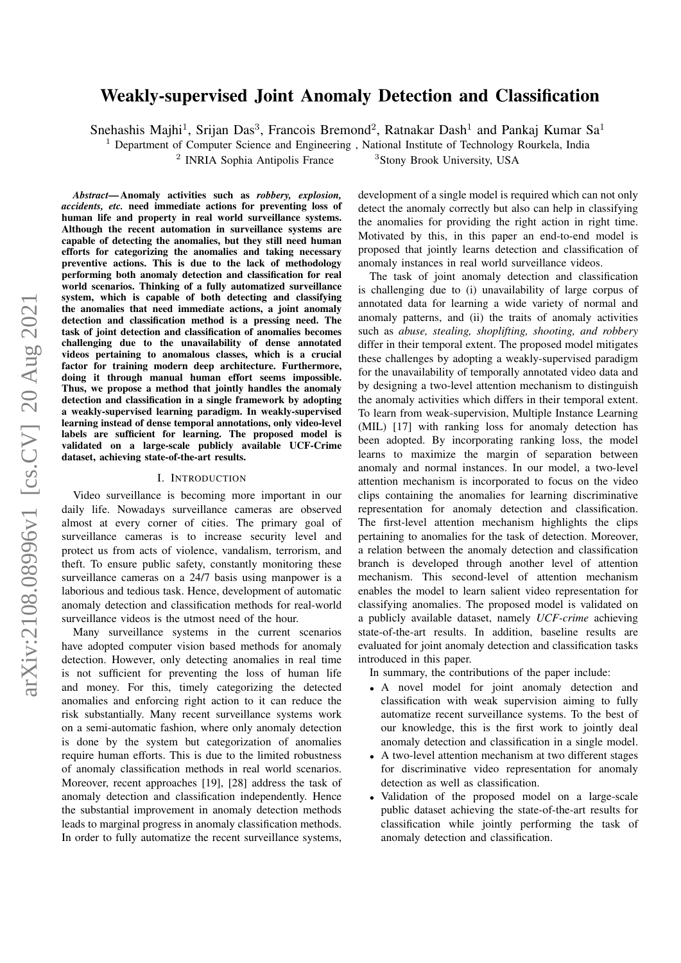# arXiv:2108.08996v1 [cs.CV] 20 Aug 2021 arXiv:2108.08996v1 [cs.CV] 20 Aug 2021

# Weakly-supervised Joint Anomaly Detection and Classification

Snehashis Majhi<sup>1</sup>, Srijan Das<sup>3</sup>, Francois Bremond<sup>2</sup>, Ratnakar Dash<sup>1</sup> and Pankaj Kumar Sa<sup>1</sup>

 $1$  Department of Computer Science and Engineering, National Institute of Technology Rourkela, India

<sup>2</sup> INRIA Sophia Antipolis France

<sup>3</sup>Stony Brook University, USA

*Abstract*— Anomaly activities such as *robbery, explosion, accidents, etc.* need immediate actions for preventing loss of human life and property in real world surveillance systems. Although the recent automation in surveillance systems are capable of detecting the anomalies, but they still need human efforts for categorizing the anomalies and taking necessary preventive actions. This is due to the lack of methodology performing both anomaly detection and classification for real world scenarios. Thinking of a fully automatized surveillance system, which is capable of both detecting and classifying the anomalies that need immediate actions, a joint anomaly detection and classification method is a pressing need. The task of joint detection and classification of anomalies becomes challenging due to the unavailability of dense annotated videos pertaining to anomalous classes, which is a crucial factor for training modern deep architecture. Furthermore, doing it through manual human effort seems impossible. Thus, we propose a method that jointly handles the anomaly detection and classification in a single framework by adopting a weakly-supervised learning paradigm. In weakly-supervised learning instead of dense temporal annotations, only video-level labels are sufficient for learning. The proposed model is validated on a large-scale publicly available UCF-Crime dataset, achieving state-of-the-art results.

# I. INTRODUCTION

Video surveillance is becoming more important in our daily life. Nowadays surveillance cameras are observed almost at every corner of cities. The primary goal of surveillance cameras is to increase security level and protect us from acts of violence, vandalism, terrorism, and theft. To ensure public safety, constantly monitoring these surveillance cameras on a 24/7 basis using manpower is a laborious and tedious task. Hence, development of automatic anomaly detection and classification methods for real-world surveillance videos is the utmost need of the hour.

Many surveillance systems in the current scenarios have adopted computer vision based methods for anomaly detection. However, only detecting anomalies in real time is not sufficient for preventing the loss of human life and money. For this, timely categorizing the detected anomalies and enforcing right action to it can reduce the risk substantially. Many recent surveillance systems work on a semi-automatic fashion, where only anomaly detection is done by the system but categorization of anomalies require human efforts. This is due to the limited robustness of anomaly classification methods in real world scenarios. Moreover, recent approaches [19], [28] address the task of anomaly detection and classification independently. Hence the substantial improvement in anomaly detection methods leads to marginal progress in anomaly classification methods. In order to fully automatize the recent surveillance systems,

development of a single model is required which can not only detect the anomaly correctly but also can help in classifying the anomalies for providing the right action in right time. Motivated by this, in this paper an end-to-end model is proposed that jointly learns detection and classification of anomaly instances in real world surveillance videos.

The task of joint anomaly detection and classification is challenging due to (i) unavailability of large corpus of annotated data for learning a wide variety of normal and anomaly patterns, and (ii) the traits of anomaly activities such as *abuse, stealing, shoplifting, shooting, and robbery* differ in their temporal extent. The proposed model mitigates these challenges by adopting a weakly-supervised paradigm for the unavailability of temporally annotated video data and by designing a two-level attention mechanism to distinguish the anomaly activities which differs in their temporal extent. To learn from weak-supervision, Multiple Instance Learning (MIL) [17] with ranking loss for anomaly detection has been adopted. By incorporating ranking loss, the model learns to maximize the margin of separation between anomaly and normal instances. In our model, a two-level attention mechanism is incorporated to focus on the video clips containing the anomalies for learning discriminative representation for anomaly detection and classification. The first-level attention mechanism highlights the clips pertaining to anomalies for the task of detection. Moreover, a relation between the anomaly detection and classification branch is developed through another level of attention mechanism. This second-level of attention mechanism enables the model to learn salient video representation for classifying anomalies. The proposed model is validated on a publicly available dataset, namely *UCF-crime* achieving state-of-the-art results. In addition, baseline results are evaluated for joint anomaly detection and classification tasks introduced in this paper.

In summary, the contributions of the paper include:

- A novel model for joint anomaly detection and classification with weak supervision aiming to fully automatize recent surveillance systems. To the best of our knowledge, this is the first work to jointly deal anomaly detection and classification in a single model.
- A two-level attention mechanism at two different stages for discriminative video representation for anomaly detection as well as classification.
- Validation of the proposed model on a large-scale public dataset achieving the state-of-the-art results for classification while jointly performing the task of anomaly detection and classification.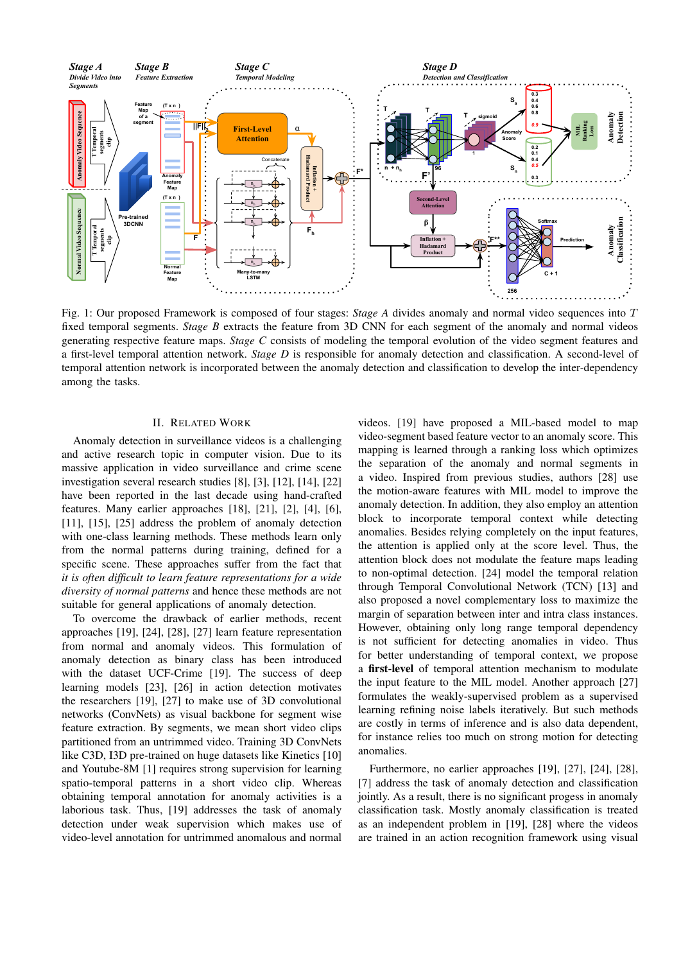<span id="page-1-0"></span>

Fig. 1: Our proposed Framework is composed of four stages: *Stage A* divides anomaly and normal video sequences into T fixed temporal segments. *Stage B* extracts the feature from 3D CNN for each segment of the anomaly and normal videos generating respective feature maps. *Stage C* consists of modeling the temporal evolution of the video segment features and a first-level temporal attention network. *Stage D* is responsible for anomaly detection and classification. A second-level of temporal attention network is incorporated between the anomaly detection and classification to develop the inter-dependency among the tasks.

# II. RELATED WORK

Anomaly detection in surveillance videos is a challenging and active research topic in computer vision. Due to its massive application in video surveillance and crime scene investigation several research studies [8], [3], [12], [14], [22] have been reported in the last decade using hand-crafted features. Many earlier approaches [18], [21], [2], [4], [6], [11], [15], [25] address the problem of anomaly detection with one-class learning methods. These methods learn only from the normal patterns during training, defined for a specific scene. These approaches suffer from the fact that *it is often difficult to learn feature representations for a wide diversity of normal patterns* and hence these methods are not suitable for general applications of anomaly detection.

To overcome the drawback of earlier methods, recent approaches [19], [24], [28], [27] learn feature representation from normal and anomaly videos. This formulation of anomaly detection as binary class has been introduced with the dataset UCF-Crime [19]. The success of deep learning models [23], [26] in action detection motivates the researchers [19], [27] to make use of 3D convolutional networks (ConvNets) as visual backbone for segment wise feature extraction. By segments, we mean short video clips partitioned from an untrimmed video. Training 3D ConvNets like C3D, I3D pre-trained on huge datasets like Kinetics [10] and Youtube-8M [1] requires strong supervision for learning spatio-temporal patterns in a short video clip. Whereas obtaining temporal annotation for anomaly activities is a laborious task. Thus, [19] addresses the task of anomaly detection under weak supervision which makes use of video-level annotation for untrimmed anomalous and normal

videos. [19] have proposed a MIL-based model to map video-segment based feature vector to an anomaly score. This mapping is learned through a ranking loss which optimizes the separation of the anomaly and normal segments in a video. Inspired from previous studies, authors [28] use the motion-aware features with MIL model to improve the anomaly detection. In addition, they also employ an attention block to incorporate temporal context while detecting anomalies. Besides relying completely on the input features, the attention is applied only at the score level. Thus, the attention block does not modulate the feature maps leading to non-optimal detection. [24] model the temporal relation through Temporal Convolutional Network (TCN) [13] and also proposed a novel complementary loss to maximize the margin of separation between inter and intra class instances. However, obtaining only long range temporal dependency is not sufficient for detecting anomalies in video. Thus for better understanding of temporal context, we propose a first-level of temporal attention mechanism to modulate the input feature to the MIL model. Another approach [27] formulates the weakly-supervised problem as a supervised learning refining noise labels iteratively. But such methods are costly in terms of inference and is also data dependent, for instance relies too much on strong motion for detecting anomalies.

Furthermore, no earlier approaches [19], [27], [24], [28], [7] address the task of anomaly detection and classification jointly. As a result, there is no significant progess in anomaly classification task. Mostly anomaly classification is treated as an independent problem in [19], [28] where the videos are trained in an action recognition framework using visual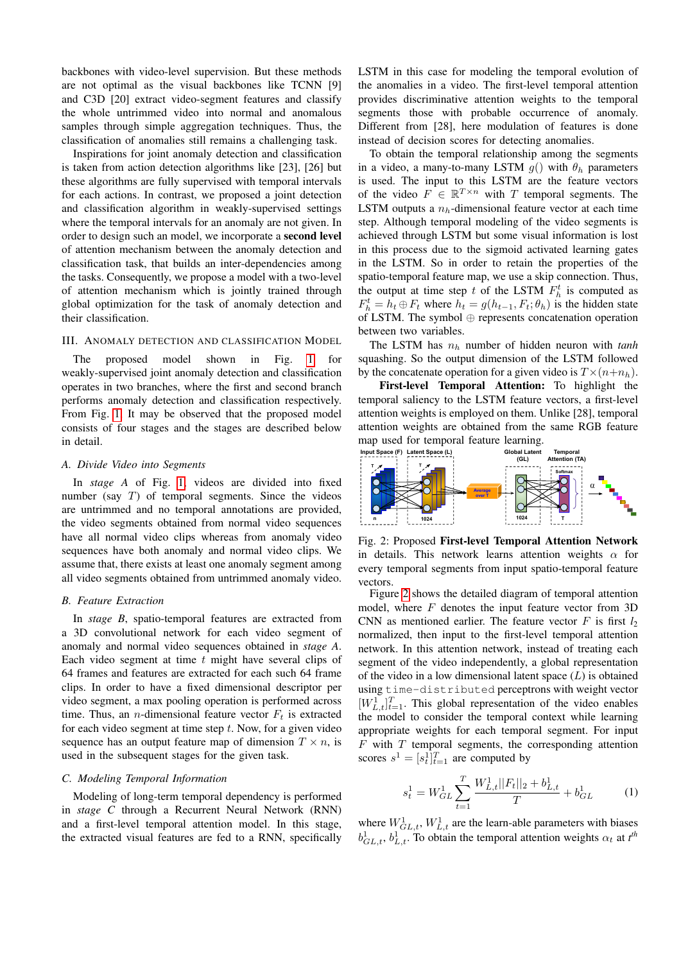backbones with video-level supervision. But these methods are not optimal as the visual backbones like TCNN [9] and C3D [20] extract video-segment features and classify the whole untrimmed video into normal and anomalous samples through simple aggregation techniques. Thus, the classification of anomalies still remains a challenging task.

Inspirations for joint anomaly detection and classification is taken from action detection algorithms like [23], [26] but these algorithms are fully supervised with temporal intervals for each actions. In contrast, we proposed a joint detection and classification algorithm in weakly-supervised settings where the temporal intervals for an anomaly are not given. In order to design such an model, we incorporate a second level of attention mechanism between the anomaly detection and classification task, that builds an inter-dependencies among the tasks. Consequently, we propose a model with a two-level of attention mechanism which is jointly trained through global optimization for the task of anomaly detection and their classification.

# III. ANOMALY DETECTION AND CLASSIFICATION MODEL

The proposed model shown in Fig. [1](#page-1-0) for weakly-supervised joint anomaly detection and classification operates in two branches, where the first and second branch performs anomaly detection and classification respectively. From Fig. [1,](#page-1-0) It may be observed that the proposed model consists of four stages and the stages are described below in detail.

# *A. Divide Video into Segments*

In *stage A* of Fig. [1,](#page-1-0) videos are divided into fixed number (say  $T$ ) of temporal segments. Since the videos are untrimmed and no temporal annotations are provided, the video segments obtained from normal video sequences have all normal video clips whereas from anomaly video sequences have both anomaly and normal video clips. We assume that, there exists at least one anomaly segment among all video segments obtained from untrimmed anomaly video.

# *B. Feature Extraction*

In *stage B*, spatio-temporal features are extracted from a 3D convolutional network for each video segment of anomaly and normal video sequences obtained in *stage A*. Each video segment at time  $t$  might have several clips of 64 frames and features are extracted for each such 64 frame clips. In order to have a fixed dimensional descriptor per video segment, a max pooling operation is performed across time. Thus, an *n*-dimensional feature vector  $F_t$  is extracted for each video segment at time step  $t$ . Now, for a given video sequence has an output feature map of dimension  $T \times n$ , is used in the subsequent stages for the given task.

# *C. Modeling Temporal Information*

Modeling of long-term temporal dependency is performed in *stage C* through a Recurrent Neural Network (RNN) and a first-level temporal attention model. In this stage, the extracted visual features are fed to a RNN, specifically

LSTM in this case for modeling the temporal evolution of the anomalies in a video. The first-level temporal attention provides discriminative attention weights to the temporal segments those with probable occurrence of anomaly. Different from [28], here modulation of features is done instead of decision scores for detecting anomalies.

To obtain the temporal relationship among the segments in a video, a many-to-many LSTM  $g()$  with  $\theta_h$  parameters is used. The input to this LSTM are the feature vectors of the video  $F \in \mathbb{R}^{T \times n}$  with T temporal segments. The LSTM outputs a  $n<sub>b</sub>$ -dimensional feature vector at each time step. Although temporal modeling of the video segments is achieved through LSTM but some visual information is lost in this process due to the sigmoid activated learning gates in the LSTM. So in order to retain the properties of the spatio-temporal feature map, we use a skip connection. Thus, the output at time step t of the LSTM  $F_h^t$  is computed as  $F_h^t = h_t \oplus F_t$  where  $h_t = g(h_{t-1}, F_t; \theta_h)$  is the hidden state of LSTM. The symbol ⊕ represents concatenation operation between two variables.

The LSTM has  $n_h$  number of hidden neuron with  $tanh$ squashing. So the output dimension of the LSTM followed by the concatenate operation for a given video is  $T \times (n+n_h)$ .

First-level Temporal Attention: To highlight the temporal saliency to the LSTM feature vectors, a first-level attention weights is employed on them. Unlike [28], temporal attention weights are obtained from the same RGB feature map used for temporal feature learning.

<span id="page-2-0"></span>

Fig. 2: Proposed First-level Temporal Attention Network in details. This network learns attention weights  $\alpha$  for every temporal segments from input spatio-temporal feature vectors.

Figure [2](#page-2-0) shows the detailed diagram of temporal attention model, where  $F$  denotes the input feature vector from 3D CNN as mentioned earlier. The feature vector  $F$  is first  $l_2$ normalized, then input to the first-level temporal attention network. In this attention network, instead of treating each segment of the video independently, a global representation of the video in a low dimensional latent space  $(L)$  is obtained using time-distributed perceptrons with weight vector  $[W_{L,t}^1]_{t=1}^T$ . This global representation of the video enables the model to consider the temporal context while learning appropriate weights for each temporal segment. For input  $F$  with  $T$  temporal segments, the corresponding attention scores  $s^1 = [s_t^1]_{t=1}^T$  are computed by

$$
s_t^1 = W_{GL}^1 \sum_{t=1}^T \frac{W_{L,t}^1 ||F_t||_2 + b_{L,t}^1}{T} + b_{GL}^1 \tag{1}
$$

where  $W_{GL,t}^1$ ,  $W_{L,t}^1$  are the learn-able parameters with biases  $b_{GL,t}^1$ ,  $b_{L,t}^1$ . To obtain the temporal attention weights  $\alpha_t$  at  $t^{\text{th}}$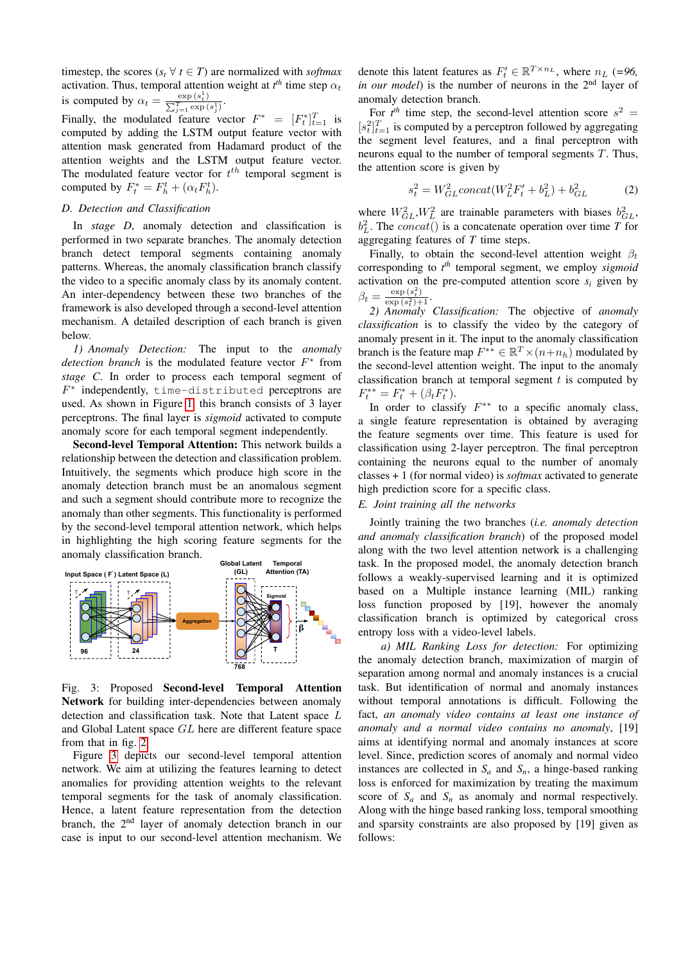timestep, the scores ( $s_t$   $\forall$  *t*  $\in$  *T*) are normalized with *softmax* activation. Thus, temporal attention weight at  $t<sup>th</sup>$  time step  $\alpha_t$ is computed by  $\alpha_t = \frac{\exp(s_t^1)}{\sum_{i=1}^T \exp(s_t^1)}$  $\frac{\exp\left(s_{t}^{1}\right)}{T_{j=1}\exp\left(s_{j}^{1}\right)}.$ 

Finally, the modulated feature vector  $F^* = [F_t^*]_{t=1}^T$  is computed by adding the LSTM output feature vector with attention mask generated from Hadamard product of the attention weights and the LSTM output feature vector. The modulated feature vector for  $t^{th}$  temporal segment is computed by  $F_t^* = F_h^t + (\alpha_t F_h^t)$ .

# *D. Detection and Classification*

In *stage D*, anomaly detection and classification is performed in two separate branches. The anomaly detection branch detect temporal segments containing anomaly patterns. Whereas, the anomaly classification branch classify the video to a specific anomaly class by its anomaly content. An inter-dependency between these two branches of the framework is also developed through a second-level attention mechanism. A detailed description of each branch is given below.

*1) Anomaly Detection:* The input to the *anomaly detection branch* is the modulated feature vector  $F^*$  from *stage C*. In order to process each temporal segment of F ∗ independently, time-distributed perceptrons are used. As shown in Figure [1,](#page-1-0) this branch consists of 3 layer perceptrons. The final layer is *sigmoid* activated to compute anomaly score for each temporal segment independently.

Second-level Temporal Attention: This network builds a relationship between the detection and classification problem. Intuitively, the segments which produce high score in the anomaly detection branch must be an anomalous segment and such a segment should contribute more to recognize the anomaly than other segments. This functionality is performed by the second-level temporal attention network, which helps in highlighting the high scoring feature segments for the anomaly classification branch.

<span id="page-3-0"></span>

Fig. 3: Proposed Second-level Temporal Attention Network for building inter-dependencies between anomaly detection and classification task. Note that Latent space L and Global Latent space GL here are different feature space from that in fig. [2.](#page-2-0)

Figure [3](#page-3-0) depicts our second-level temporal attention network. We aim at utilizing the features learning to detect anomalies for providing attention weights to the relevant temporal segments for the task of anomaly classification. Hence, a latent feature representation from the detection branch, the 2<sup>nd</sup> layer of anomaly detection branch in our case is input to our second-level attention mechanism. We

denote this latent features as  $F'_t \in \mathbb{R}^{T \times n_L}$ , where  $n_L$  (=96, *in our model*) is the number of neurons in the 2<sup>nd</sup> layer of anomaly detection branch.

For  $t^{th}$  time step, the second-level attention score  $s^2 =$  $[s_t^2]_{t=1}^T$  is computed by a perceptron followed by aggregating the segment level features, and a final perceptron with neurons equal to the number of temporal segments  $T$ . Thus, the attention score is given by

$$
s_t^2 = W_{GL}^2 concat(W_L^2 F_t' + b_L^2) + b_{GL}^2
$$
 (2)

where  $W_{GL}^2$ ,  $W_L^2$  are trainable parameters with biases  $b_{GL}^2$ ,  $b<sub>L</sub><sup>2</sup>$ . The *concat*() is a concatenate operation over time *T* for aggregating features of *T* time steps.

Finally, to obtain the second-level attention weight  $\beta_t$ corresponding to *t th* temporal segment, we employ *sigmoid* activation on the pre-computed attention score  $s_i$  given by  $\beta_t = \frac{\exp(s_t^2)}{\exp(s_t^2)}$  $\frac{\exp(s_t)}{\exp(s_t^2)+1}$ .

*2) Anomaly Classification:* The objective of *anomaly classification* is to classify the video by the category of anomaly present in it. The input to the anomaly classification branch is the feature map  $F^{**} \in \mathbb{R}^T \times (n+n_h)$  modulated by the second-level attention weight. The input to the anomaly classification branch at temporal segment  $t$  is computed by  $F_t^{**} = F_t^* + (\beta_t F_t^*).$ 

In order to classify  $F^{**}$  to a specific anomaly class, a single feature representation is obtained by averaging the feature segments over time. This feature is used for classification using 2-layer perceptron. The final perceptron containing the neurons equal to the number of anomaly classes + 1 (for normal video) is *softmax* activated to generate high prediction score for a specific class.

# *E. Joint training all the networks*

Jointly training the two branches (*i.e. anomaly detection and anomaly classification branch*) of the proposed model along with the two level attention network is a challenging task. In the proposed model, the anomaly detection branch follows a weakly-supervised learning and it is optimized based on a Multiple instance learning (MIL) ranking loss function proposed by [19], however the anomaly classification branch is optimized by categorical cross entropy loss with a video-level labels.

*a) MIL Ranking Loss for detection:* For optimizing the anomaly detection branch, maximization of margin of separation among normal and anomaly instances is a crucial task. But identification of normal and anomaly instances without temporal annotations is difficult. Following the fact, *an anomaly video contains at least one instance of anomaly and a normal video contains no anomaly*, [19] aims at identifying normal and anomaly instances at score level. Since, prediction scores of anomaly and normal video instances are collected in  $S_a$  and  $S_n$ , a hinge-based ranking loss is enforced for maximization by treating the maximum score of  $S_a$  and  $S_n$  as anomaly and normal respectively. Along with the hinge based ranking loss, temporal smoothing and sparsity constraints are also proposed by [19] given as follows: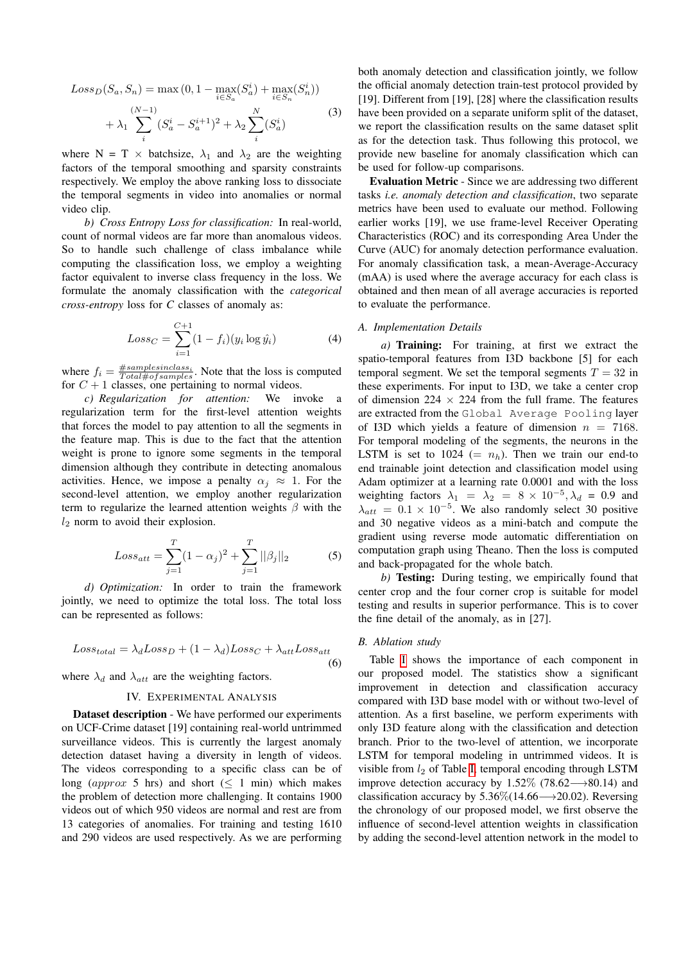$$
Loss_D(S_a, S_n) = \max (0, 1 - \max_{i \in S_a} (S_a^i) + \max_{i \in S_n} (S_n^i))
$$
  
+  $\lambda_1 \sum_{i}^{(N-1)} (S_a^i - S_a^{i+1})^2 + \lambda_2 \sum_{i}^{N} (S_a^i)$  (3)

where N = T  $\times$  batchsize,  $\lambda_1$  and  $\lambda_2$  are the weighting factors of the temporal smoothing and sparsity constraints respectively. We employ the above ranking loss to dissociate the temporal segments in video into anomalies or normal video clip.

*b) Cross Entropy Loss for classification:* In real-world, count of normal videos are far more than anomalous videos. So to handle such challenge of class imbalance while computing the classification loss, we employ a weighting factor equivalent to inverse class frequency in the loss. We formulate the anomaly classification with the *categorical cross-entropy* loss for *C* classes of anomaly as:

$$
Loss_C = \sum_{i=1}^{C+1} (1 - f_i)(y_i \log \hat{y}_i)
$$
 (4)

where  $f_i = \frac{\# samples in class_i}{Total \# of samples}$ . Note that the loss is computed for  $C + 1$  classes, one pertaining to normal videos.

*c) Regularization for attention:* We invoke a regularization term for the first-level attention weights that forces the model to pay attention to all the segments in the feature map. This is due to the fact that the attention weight is prone to ignore some segments in the temporal dimension although they contribute in detecting anomalous activities. Hence, we impose a penalty  $\alpha_i \approx 1$ . For the second-level attention, we employ another regularization term to regularize the learned attention weights  $\beta$  with the  $l_2$  norm to avoid their explosion.

$$
Loss_{att} = \sum_{j=1}^{T} (1 - \alpha_j)^2 + \sum_{j=1}^{T} ||\beta_j||_2
$$
 (5)

*d) Optimization:* In order to train the framework jointly, we need to optimize the total loss. The total loss can be represented as follows:

$$
Loss_{total} = \lambda_d Loss_D + (1 - \lambda_d) Loss_C + \lambda_{att} Loss_{att}
$$
\n(6)

where  $\lambda_d$  and  $\lambda_{att}$  are the weighting factors.

# IV. EXPERIMENTAL ANALYSIS

Dataset description - We have performed our experiments on UCF-Crime dataset [19] containing real-world untrimmed surveillance videos. This is currently the largest anomaly detection dataset having a diversity in length of videos. The videos corresponding to a specific class can be of long (approx 5 hrs) and short ( $\leq 1$  min) which makes the problem of detection more challenging. It contains 1900 videos out of which 950 videos are normal and rest are from 13 categories of anomalies. For training and testing 1610 and 290 videos are used respectively. As we are performing

both anomaly detection and classification jointly, we follow the official anomaly detection train-test protocol provided by [19]. Different from [19], [28] where the classification results have been provided on a separate uniform split of the dataset, we report the classification results on the same dataset split as for the detection task. Thus following this protocol, we provide new baseline for anomaly classification which can be used for follow-up comparisons.

Evaluation Metric - Since we are addressing two different tasks *i.e. anomaly detection and classification*, two separate metrics have been used to evaluate our method. Following earlier works [19], we use frame-level Receiver Operating Characteristics (ROC) and its corresponding Area Under the Curve (AUC) for anomaly detection performance evaluation. For anomaly classification task, a mean-Average-Accuracy (mAA) is used where the average accuracy for each class is obtained and then mean of all average accuracies is reported to evaluate the performance.

# *A. Implementation Details*

*a)* Training: For training, at first we extract the spatio-temporal features from I3D backbone [5] for each temporal segment. We set the temporal segments  $T = 32$  in these experiments. For input to I3D, we take a center crop of dimension  $224 \times 224$  from the full frame. The features are extracted from the Global Average Pooling layer of I3D which yields a feature of dimension  $n = 7168$ . For temporal modeling of the segments, the neurons in the LSTM is set to 1024 (=  $n_h$ ). Then we train our end-to end trainable joint detection and classification model using Adam optimizer at a learning rate 0.0001 and with the loss weighting factors  $\lambda_1 = \lambda_2 = 8 \times 10^{-5}, \lambda_d = 0.9$  and  $\lambda_{att} = 0.1 \times 10^{-5}$ . We also randomly select 30 positive and 30 negative videos as a mini-batch and compute the gradient using reverse mode automatic differentiation on computation graph using Theano. Then the loss is computed and back-propagated for the whole batch.

*b)* Testing: During testing, we empirically found that center crop and the four corner crop is suitable for model testing and results in superior performance. This is to cover the fine detail of the anomaly, as in [27].

# *B. Ablation study*

Table [I](#page-5-0) shows the importance of each component in our proposed model. The statistics show a significant improvement in detection and classification accuracy compared with I3D base model with or without two-level of attention. As a first baseline, we perform experiments with only I3D feature along with the classification and detection branch. Prior to the two-level of attention, we incorporate LSTM for temporal modeling in untrimmed videos. It is visible from  $l_2$  of Table [I,](#page-5-0) temporal encoding through LSTM improve detection accuracy by 1.52% (78.62 $\rightarrow$ 80.14) and classification accuracy by  $5.36\%$  (14.66—→20.02). Reversing the chronology of our proposed model, we first observe the influence of second-level attention weights in classification by adding the second-level attention network in the model to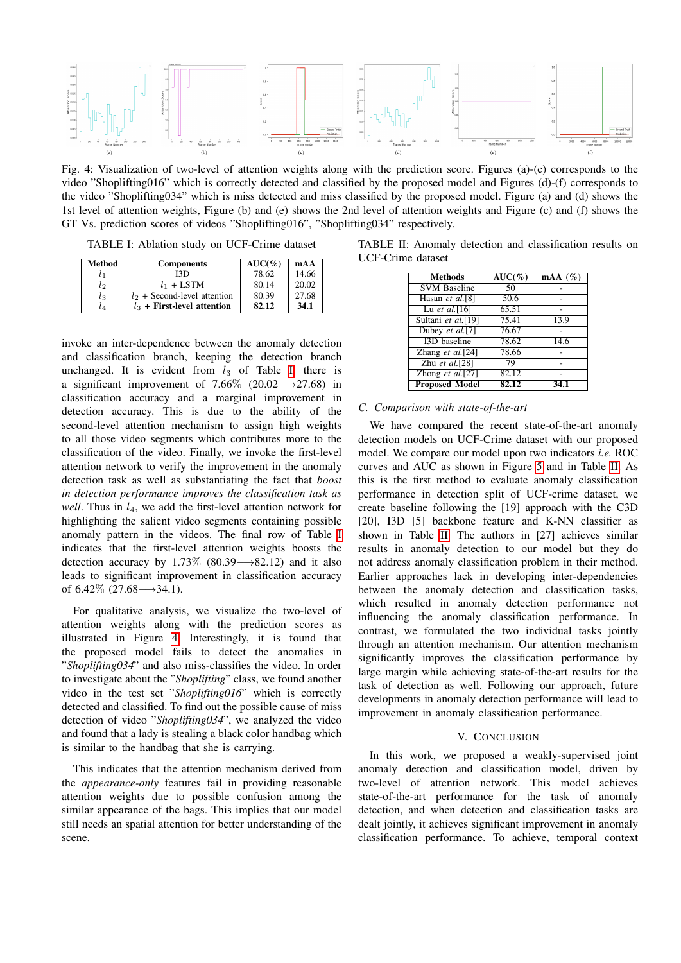<span id="page-5-1"></span>

Fig. 4: Visualization of two-level of attention weights along with the prediction score. Figures (a)-(c) corresponds to the video "Shoplifting016" which is correctly detected and classified by the proposed model and Figures (d)-(f) corresponds to the video "Shoplifting034" which is miss detected and miss classified by the proposed model. Figure (a) and (d) shows the 1st level of attention weights, Figure (b) and (e) shows the 2nd level of attention weights and Figure (c) and (f) shows the GT Vs. prediction scores of videos "Shoplifting016", "Shoplifting034" respectively.

<span id="page-5-0"></span>TABLE I: Ablation study on UCF-Crime dataset

| Method    | <b>Components</b>              | $AUC(\%)$ | mAA   |
|-----------|--------------------------------|-----------|-------|
|           | 13D                            | 78.62     | 14.66 |
| l2        | $l_1$ + LSTM                   | 80.14     | 20.02 |
| lз        | $l_2$ + Second-level attention | 80.39     | 27.68 |
| $\iota_4$ | $l_3$ + First-level attention  | 82.12     | 34.1  |

invoke an inter-dependence between the anomaly detection and classification branch, keeping the detection branch unchanged. It is evident from  $l_3$  of Table [I,](#page-5-0) there is a significant improvement of 7.66% (20.02→27.68) in classification accuracy and a marginal improvement in detection accuracy. This is due to the ability of the second-level attention mechanism to assign high weights to all those video segments which contributes more to the classification of the video. Finally, we invoke the first-level attention network to verify the improvement in the anomaly detection task as well as substantiating the fact that *boost in detection performance improves the classification task as well*. Thus in  $l_4$ , we add the first-level attention network for highlighting the salient video segments containing possible anomaly pattern in the videos. The final row of Table [I](#page-5-0) indicates that the first-level attention weights boosts the detection accuracy by 1.73% (80.39 $\rightarrow$ 82.12) and it also leads to significant improvement in classification accuracy of  $6.42\%$  (27.68 $\longrightarrow$ 34.1).

For qualitative analysis, we visualize the two-level of attention weights along with the prediction scores as illustrated in Figure [4.](#page-5-1) Interestingly, it is found that the proposed model fails to detect the anomalies in "*Shoplifting034*" and also miss-classifies the video. In order to investigate about the "*Shoplifting*" class, we found another video in the test set "*Shoplifting016*" which is correctly detected and classified. To find out the possible cause of miss detection of video "*Shoplifting034*", we analyzed the video and found that a lady is stealing a black color handbag which is similar to the handbag that she is carrying.

This indicates that the attention mechanism derived from the *appearance-only* features fail in providing reasonable attention weights due to possible confusion among the similar appearance of the bags. This implies that our model still needs an spatial attention for better understanding of the scene.

<span id="page-5-2"></span>

| TABLE II: Anomaly detection and classification results on |  |  |  |
|-----------------------------------------------------------|--|--|--|
| UCF-Crime dataset                                         |  |  |  |

| Methods               | $AUC(\%)$ | $\text{mAA}$ (%) |
|-----------------------|-----------|------------------|
| <b>SVM Baseline</b>   | 50        |                  |
| Hasan et al.[8]       | 50.6      |                  |
| Lu et al. $[16]$      | 65.51     |                  |
| Sultani et al.[19]    | 75.41     | 13.9             |
| Dubey et al.[7]       | 76.67     |                  |
| <b>I3D</b> baseline   | 78.62     | 14.6             |
| Zhang et al. $[24]$   | 78.66     |                  |
| Zhu et al. $[28]$     | 79        |                  |
| Zhong et al.[27]      | 82.12     |                  |
| <b>Proposed Model</b> | 82.12     | 34.1             |

# *C. Comparison with state-of-the-art*

We have compared the recent state-of-the-art anomaly detection models on UCF-Crime dataset with our proposed model. We compare our model upon two indicators *i.e.* ROC curves and AUC as shown in Figure [5](#page-6-0) and in Table [II.](#page-5-2) As this is the first method to evaluate anomaly classification performance in detection split of UCF-crime dataset, we create baseline following the [19] approach with the C3D [20], I3D [5] backbone feature and K-NN classifier as shown in Table [II.](#page-5-2) The authors in [27] achieves similar results in anomaly detection to our model but they do not address anomaly classification problem in their method. Earlier approaches lack in developing inter-dependencies between the anomaly detection and classification tasks, which resulted in anomaly detection performance not influencing the anomaly classification performance. In contrast, we formulated the two individual tasks jointly through an attention mechanism. Our attention mechanism significantly improves the classification performance by large margin while achieving state-of-the-art results for the task of detection as well. Following our approach, future developments in anomaly detection performance will lead to improvement in anomaly classification performance.

# V. CONCLUSION

In this work, we proposed a weakly-supervised joint anomaly detection and classification model, driven by two-level of attention network. This model achieves state-of-the-art performance for the task of anomaly detection, and when detection and classification tasks are dealt jointly, it achieves significant improvement in anomaly classification performance. To achieve, temporal context